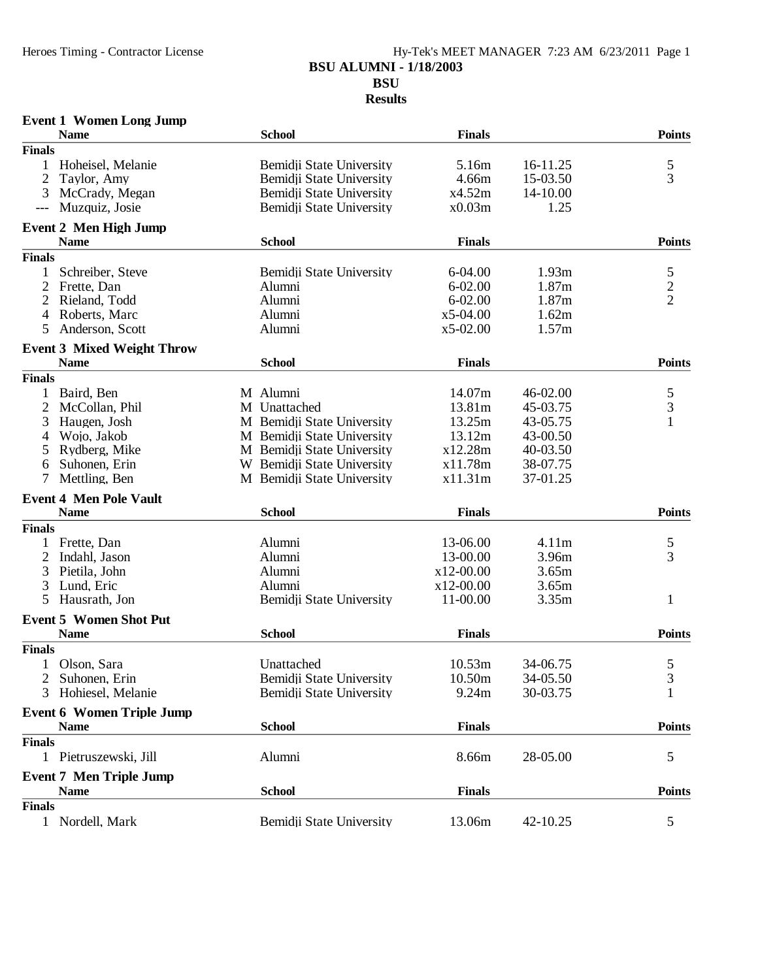#### Heroes Timing - Contractor License Hy-Tek's MEET MANAGER 7:23 AM 6/23/2011 Page 1 **BSU ALUMNI - 1/18/2003 BSU Results**

| <b>Event 1 Women Long Jump</b>                   |                            |               |          |                |
|--------------------------------------------------|----------------------------|---------------|----------|----------------|
| <b>Name</b>                                      | <b>School</b>              | <b>Finals</b> |          | <b>Points</b>  |
| <b>Finals</b>                                    |                            |               |          |                |
| Hoheisel, Melanie<br>$\mathbf{1}$                | Bemidji State University   | 5.16m         | 16-11.25 | 5              |
| $\overline{c}$<br>Taylor, Amy                    | Bemidji State University   | 4.66m         | 15-03.50 | 3              |
| 3<br>McCrady, Megan                              | Bemidji State University   | x4.52m        | 14-10.00 |                |
| Muzquiz, Josie<br>$---$                          | Bemidji State University   | x0.03m        | 1.25     |                |
| <b>Event 2 Men High Jump</b>                     |                            |               |          |                |
| <b>Name</b>                                      | <b>School</b>              | <b>Finals</b> |          | <b>Points</b>  |
| <b>Finals</b>                                    |                            |               |          |                |
| Schreiber, Steve<br>1                            | Bemidji State University   | 6-04.00       | 1.93m    | 5              |
| $\overline{2}$<br>Frette, Dan                    | Alumni                     | $6 - 02.00$   | 1.87m    | $\overline{c}$ |
| 2<br>Rieland, Todd                               | Alumni                     | $6 - 02.00$   | 1.87m    | $\overline{2}$ |
| Roberts, Marc<br>4                               | Alumni                     | $x5-04.00$    | 1.62m    |                |
| 5<br>Anderson, Scott                             | Alumni                     | $x5-02.00$    | 1.57m    |                |
|                                                  |                            |               |          |                |
| <b>Event 3 Mixed Weight Throw</b><br><b>Name</b> | <b>School</b>              | <b>Finals</b> |          | <b>Points</b>  |
| <b>Finals</b>                                    |                            |               |          |                |
| Baird, Ben<br>1                                  | M Alumni                   | 14.07m        | 46-02.00 |                |
|                                                  | M Unattached               |               |          | $\frac{5}{3}$  |
| $\overline{c}$<br>McCollan, Phil                 |                            | 13.81m        | 45-03.75 | $\mathbf{1}$   |
| 3<br>Haugen, Josh                                | M Bemidji State University | 13.25m        | 43-05.75 |                |
| Wojo, Jakob<br>4                                 | M Bemidji State University | 13.12m        | 43-00.50 |                |
| Rydberg, Mike<br>5                               | M Bemidji State University | x12.28m       | 40-03.50 |                |
| 6<br>Suhonen, Erin                               | W Bemidii State University | x11.78m       | 38-07.75 |                |
| 7<br>Mettling, Ben                               | M Bemidji State University | x11.31m       | 37-01.25 |                |
| <b>Event 4 Men Pole Vault</b>                    |                            |               |          |                |
| <b>Name</b>                                      | <b>School</b>              | <b>Finals</b> |          | <b>Points</b>  |
| <b>Finals</b>                                    |                            |               |          |                |
| Frette, Dan<br>$\mathbf{1}$                      | Alumni                     | 13-06.00      | 4.11m    | 5              |
| 2<br>Indahl, Jason                               | Alumni                     | 13-00.00      | 3.96m    | 3              |
| 3<br>Pietila, John                               | Alumni                     | $x12-00.00$   | 3.65m    |                |
| 3<br>Lund, Eric                                  | Alumni                     | x12-00.00     | 3.65m    |                |
| 5<br>Hausrath, Jon                               | Bemidji State University   | 11-00.00      | 3.35m    | 1              |
| <b>Event 5 Women Shot Put</b>                    |                            |               |          |                |
| <b>Name</b>                                      | <b>School</b>              | <b>Finals</b> |          | <b>Points</b>  |
| <b>Finals</b>                                    |                            |               |          |                |
| 1 Olson, Sara                                    | Unattached                 | 10.53m        | 34-06.75 | 5              |
| Suhonen, Erin<br>2                               | Bemidii State University   | 10.50m        | 34-05.50 | 3              |
| Hohiesel, Melanie<br>3                           | Bemidji State University   | 9.24m         | 30-03.75 |                |
| <b>Event 6 Women Triple Jump</b>                 |                            |               |          |                |
| <b>Name</b>                                      | <b>School</b>              | <b>Finals</b> |          | <b>Points</b>  |
| <b>Finals</b>                                    |                            |               |          |                |
| Pietruszewski, Jill<br>$\mathbf{1}$              | Alumni                     | 8.66m         | 28-05.00 | 5              |
|                                                  |                            |               |          |                |
| <b>Event 7 Men Triple Jump</b>                   |                            |               |          |                |
| <b>Name</b>                                      | <b>School</b>              | <b>Finals</b> |          | <b>Points</b>  |
| <b>Finals</b>                                    |                            |               |          |                |
| 1 Nordell, Mark                                  | Bemidji State University   | 13.06m        | 42-10.25 | 5              |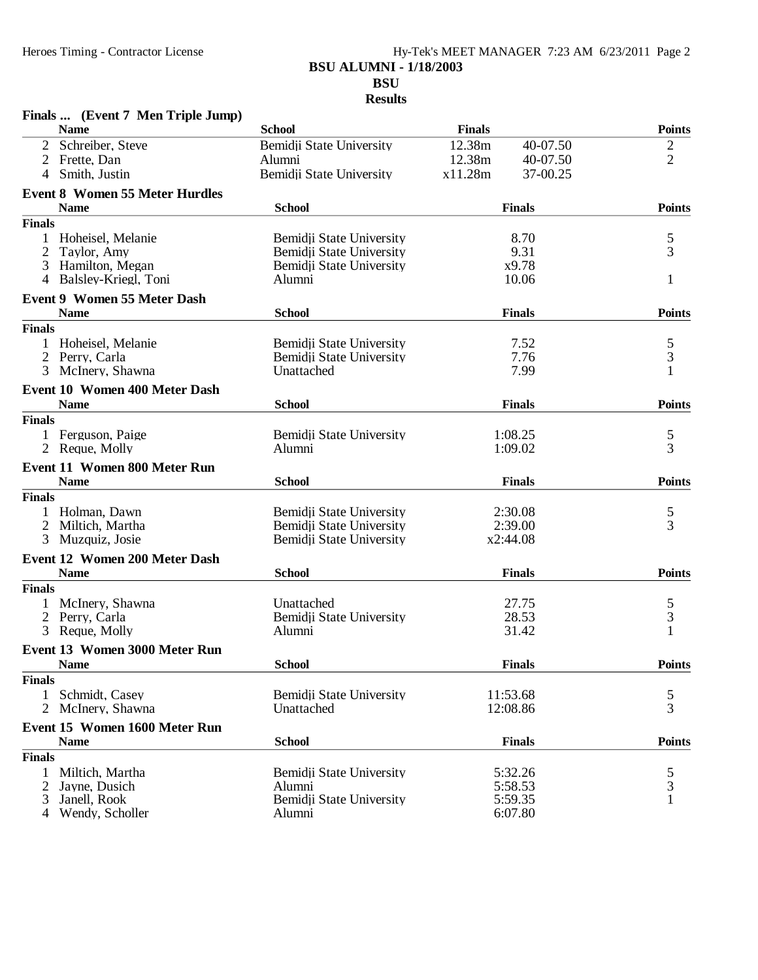#### Heroes Timing - Contractor License Hy-Tek's MEET MANAGER 7:23 AM 6/23/2011 Page 2 **BSU ALUMNI - 1/18/2003 BSU Results**

|               | Finals  (Event 7 Men Triple Jump)                  |                                                      |                     |                |
|---------------|----------------------------------------------------|------------------------------------------------------|---------------------|----------------|
|               | <b>Name</b>                                        | <b>School</b>                                        | <b>Finals</b>       | <b>Points</b>  |
|               | 2 Schreiber, Steve                                 | Bemidji State University                             | 12.38m<br>40-07.50  | $\overline{c}$ |
|               | 2 Frette, Dan                                      | Alumni                                               | 12.38m<br>40-07.50  | $\overline{2}$ |
| 4             | Smith, Justin                                      | Bemidji State University                             | x11.28m<br>37-00.25 |                |
|               | <b>Event 8 Women 55 Meter Hurdles</b>              |                                                      |                     |                |
|               | <b>Name</b>                                        | <b>School</b>                                        | <b>Finals</b>       | <b>Points</b>  |
| <b>Finals</b> |                                                    |                                                      |                     |                |
|               | Hoheisel, Melanie                                  | Bemidji State University                             | 8.70                | 5              |
| 2             | Taylor, Amy                                        | Bemidji State University                             | 9.31                | $\overline{3}$ |
|               | 3 Hamilton, Megan                                  | Bemidji State University                             | x9.78<br>10.06      |                |
|               | 4 Balsley-Kriegl, Toni                             | Alumni                                               |                     | 1              |
|               | <b>Event 9 Women 55 Meter Dash</b>                 |                                                      |                     |                |
|               | <b>Name</b>                                        | <b>School</b>                                        | <b>Finals</b>       | <b>Points</b>  |
| <b>Finals</b> |                                                    |                                                      |                     |                |
|               | Hoheisel, Melanie                                  | Bemidji State University<br>Bemidii State University | 7.52<br>7.76        | $rac{5}{3}$    |
| 2<br>3        | Perry, Carla<br>McInery, Shawna                    | Unattached                                           | 7.99                | $\mathbf{1}$   |
|               |                                                    |                                                      |                     |                |
|               | Event 10 Women 400 Meter Dash<br><b>Name</b>       | <b>School</b>                                        | <b>Finals</b>       | <b>Points</b>  |
| <b>Finals</b> |                                                    |                                                      |                     |                |
|               | 1 Ferguson, Paige                                  | Bemidii State University                             | 1:08.25             |                |
|               | 2 Reque, Molly                                     | Alumni                                               | 1:09.02             | $\frac{5}{3}$  |
|               |                                                    |                                                      |                     |                |
|               | <b>Event 11 Women 800 Meter Run</b><br><b>Name</b> | <b>School</b>                                        | <b>Finals</b>       | <b>Points</b>  |
| <b>Finals</b> |                                                    |                                                      |                     |                |
|               | Holman, Dawn                                       | Bemidji State University                             | 2:30.08             | 5              |
|               | 2 Miltich, Martha                                  | Bemidji State University                             | 2:39.00             | 3              |
|               | 3 Muzquiz, Josie                                   | Bemidji State University                             | x2:44.08            |                |
|               | <b>Event 12 Women 200 Meter Dash</b>               |                                                      |                     |                |
|               | <b>Name</b>                                        | <b>School</b>                                        | <b>Finals</b>       | <b>Points</b>  |
| <b>Finals</b> |                                                    |                                                      |                     |                |
|               | McInery, Shawna                                    | Unattached                                           | 27.75               |                |
| 2             | Perry, Carla                                       | Bemidji State University                             | 28.53               | $\frac{5}{3}$  |
| 3             | Reque, Molly                                       | Alumni                                               | 31.42               | $\mathbf{1}$   |
|               | <b>Event 13 Women 3000 Meter Run</b>               |                                                      |                     |                |
|               | <b>Name</b>                                        | <b>School</b>                                        | <b>Finals</b>       | <b>Points</b>  |
| <b>Finals</b> |                                                    |                                                      |                     |                |
| $\mathbf{1}$  | Schmidt, Casey                                     | Bemidji State University                             | 11:53.68            | 5              |
|               | 2 McInery, Shawna                                  | Unattached                                           | 12:08.86            | 3              |
|               | Event 15 Women 1600 Meter Run                      |                                                      |                     |                |
|               | <b>Name</b>                                        | <b>School</b>                                        | <b>Finals</b>       | <b>Points</b>  |
| <b>Finals</b> |                                                    |                                                      |                     |                |
|               | Miltich, Martha                                    | Bemidji State University                             | 5:32.26             | 5              |
| 2             | Jayne, Dusich                                      | Alumni                                               | 5:58.53             | 3              |
| 3             | Janell, Rook                                       | Bemidji State University                             | 5:59.35             | $\mathbf{1}$   |
| 4             | Wendy, Scholler                                    | Alumni                                               | 6:07.80             |                |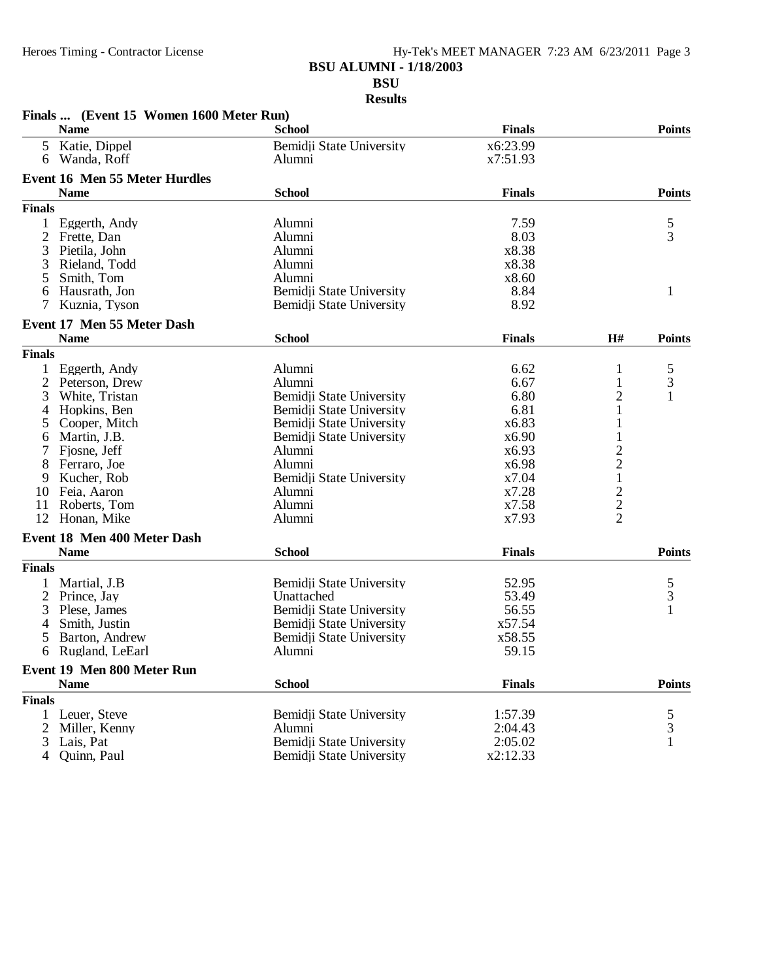## Heroes Timing - Contractor License Hy-Tek's MEET MANAGER 7:23 AM 6/23/2011 Page 3 **BSU ALUMNI - 1/18/2003 BSU**

**Results**

|               | Finals  (Event 15 Women 1600 Meter Run) |                          |               |                |               |
|---------------|-----------------------------------------|--------------------------|---------------|----------------|---------------|
|               | <b>Name</b>                             | <b>School</b>            | <b>Finals</b> |                | <b>Points</b> |
| 5             | Katie, Dippel                           | Bemidii State University | x6:23.99      |                |               |
| 6             | Wanda, Roff                             | Alumni                   | x7:51.93      |                |               |
|               | <b>Event 16 Men 55 Meter Hurdles</b>    |                          |               |                |               |
|               | <b>Name</b>                             | <b>School</b>            | <b>Finals</b> |                | <b>Points</b> |
| <b>Finals</b> |                                         |                          |               |                |               |
|               |                                         |                          | 7.59          |                |               |
| 1<br>2        | Eggerth, Andy                           | Alumni<br>Alumni         | 8.03          |                | $\frac{5}{3}$ |
|               | Frette, Dan                             |                          | x8.38         |                |               |
| 3             | Pietila, John                           | Alumni                   |               |                |               |
| 3             | Rieland, Todd                           | Alumni                   | x8.38         |                |               |
| 5             | Smith, Tom                              | Alumni                   | x8.60         |                |               |
| 6             | Hausrath, Jon                           | Bemidji State University | 8.84          |                | 1             |
| 7             | Kuznia, Tyson                           | Bemidji State University | 8.92          |                |               |
|               | Event 17 Men 55 Meter Dash              |                          |               |                |               |
|               | <b>Name</b>                             | <b>School</b>            | <b>Finals</b> | H#             | <b>Points</b> |
| <b>Finals</b> |                                         |                          |               |                |               |
|               | Eggerth, Andy                           | Alumni                   | 6.62          | 1              | 5             |
| 2             | Peterson, Drew                          | Alumni                   | 6.67          | 1              | 3             |
| 3             | White, Tristan                          | Bemidji State University | 6.80          | $\overline{c}$ | $\mathbf{1}$  |
| 4             | Hopkins, Ben                            | Bemidji State University | 6.81          | 1              |               |
| 5.            | Cooper, Mitch                           | Bemidji State University | x6.83         | 1              |               |
| 6             | Martin, J.B.                            | Bemidji State University | x6.90         |                |               |
|               | Fjosne, Jeff                            | Alumni                   | x6.93         |                |               |
|               | Ferraro, Joe                            | Alumni                   | x6.98         | $\frac{2}{1}$  |               |
| 9             | Kucher, Rob                             | Bemidji State University | x7.04         |                |               |
| 10            | Feia, Aaron                             | Alumni                   | x7.28         |                |               |
| 11            | Roberts, Tom                            | Alumni                   | x7.58         |                |               |
| 12            | Honan, Mike                             | Alumni                   | x7.93         | $\frac{2}{2}$  |               |
|               | Event 18 Men 400 Meter Dash             |                          |               |                |               |
|               | <b>Name</b>                             | <b>School</b>            | <b>Finals</b> |                | <b>Points</b> |
|               |                                         |                          |               |                |               |
| <b>Finals</b> |                                         |                          |               |                |               |
|               | Martial, J.B                            | Bemidji State University | 52.95         |                | $\frac{5}{3}$ |
| 2             | Prince, Jay                             | Unattached               | 53.49         |                |               |
| 3             | Plese, James                            | Bemidji State University | 56.55         |                | $\mathbf{1}$  |
| 4             | Smith, Justin                           | Bemidji State University | x57.54        |                |               |
| 5             | Barton, Andrew                          | Bemidji State University | x58.55        |                |               |
| 6             | Rugland, LeEarl                         | Alumni                   | 59.15         |                |               |
|               | Event 19 Men 800 Meter Run              |                          |               |                |               |
|               | <b>Name</b>                             | <b>School</b>            | <b>Finals</b> |                | <b>Points</b> |
| <b>Finals</b> |                                         |                          |               |                |               |
| 1             | Leuer, Steve                            | Bemidji State University | 1:57.39       |                | 5             |
| 2             | Miller, Kenny                           | Alumni                   | 2:04.43       |                | 3             |
| 3             | Lais, Pat                               | Bemidji State University | 2:05.02       |                | 1             |
| 4             | Quinn, Paul                             | Bemidji State University | x2:12.33      |                |               |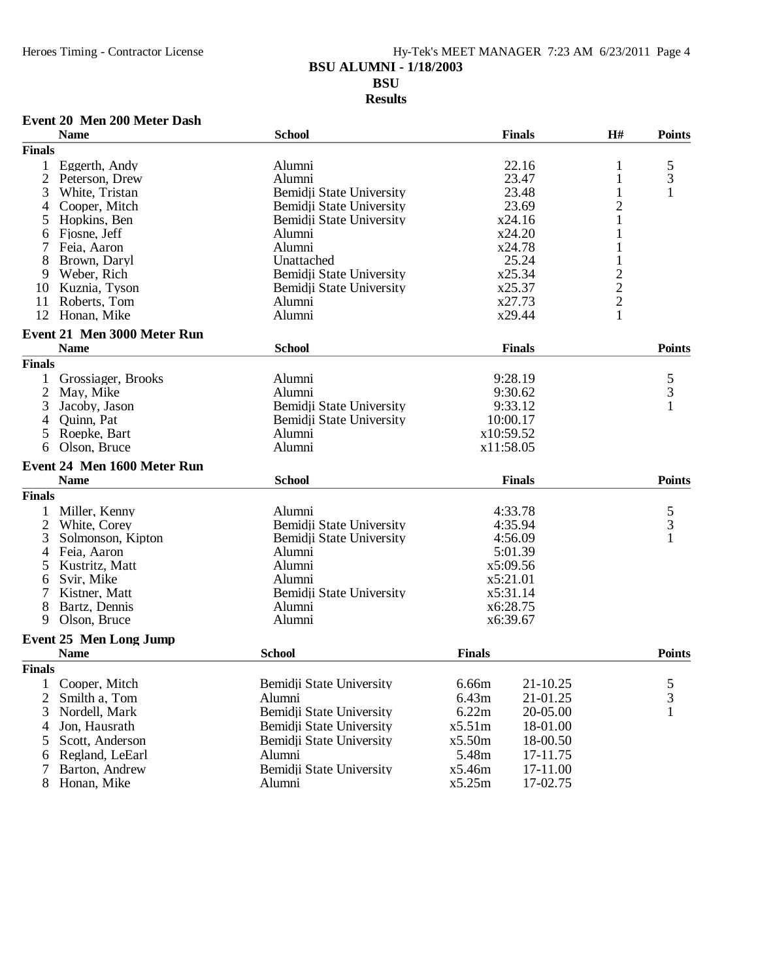## Heroes Timing - Contractor License Hy-Tek's MEET MANAGER 7:23 AM 6/23/2011 Page 4 **BSU ALUMNI - 1/18/2003 BSU Results**

### **Event 20 Men 200 Meter Dash**

|                | <b>Name</b>                   | <b>School</b>            |               | <b>Finals</b> | H#             | <b>Points</b> |
|----------------|-------------------------------|--------------------------|---------------|---------------|----------------|---------------|
| <b>Finals</b>  |                               |                          |               |               |                |               |
| 1              | Eggerth, Andy                 | Alumni                   |               | 22.16         | 1              |               |
| $\overline{2}$ | Peterson, Drew                | Alumni                   |               | 23.47         | 1              | $\frac{5}{3}$ |
| 3              | White, Tristan                | Bemidji State University |               | 23.48         | 1              | 1             |
| 4              | Cooper, Mitch                 | Bemidji State University |               | 23.69         | $\overline{c}$ |               |
| 5              | Hopkins, Ben                  | Bemidji State University |               | x24.16        | $\,1$          |               |
| 6              | Fjosne, Jeff                  | Alumni                   |               | x24.20        | 1              |               |
|                | Feia, Aaron                   | Alumni                   |               | x24.78        | 1              |               |
| 8              | Brown, Daryl                  | Unattached               |               | 25.24         |                |               |
| 9              | Weber, Rich                   | Bemidji State University |               | x25.34        |                |               |
| 10             | Kuznia, Tyson                 | Bemidji State University |               | x25.37        | $\frac{2}{2}$  |               |
| 11             | Roberts, Tom                  | Alumni                   |               | x27.73        |                |               |
| 12             | Honan, Mike                   | Alumni                   |               | x29.44        | $\mathbf{1}$   |               |
|                | Event 21 Men 3000 Meter Run   |                          |               |               |                |               |
|                | <b>Name</b>                   | <b>School</b>            |               | <b>Finals</b> |                | <b>Points</b> |
| <b>Finals</b>  |                               |                          |               |               |                |               |
| $\mathbf{1}$   | Grossiager, Brooks            | Alumni                   |               | 9:28.19       |                | $\frac{5}{3}$ |
| 2              | May, Mike                     | Alumni                   |               | 9:30.62       |                |               |
| 3              | Jacoby, Jason                 | Bemidji State University |               | 9:33.12       |                | 1             |
|                | Quinn, Pat                    | Bemidji State University |               | 10:00.17      |                |               |
| 5              | Roepke, Bart                  | Alumni                   |               | x10:59.52     |                |               |
| 6              | Olson, Bruce                  | Alumni                   |               | x11:58.05     |                |               |
|                | Event 24 Men 1600 Meter Run   |                          |               |               |                |               |
|                | <b>Name</b>                   | <b>School</b>            |               | <b>Finals</b> |                | <b>Points</b> |
| <b>Finals</b>  |                               |                          |               |               |                |               |
|                | Miller, Kenny                 | Alumni                   |               | 4:33.78       |                |               |
| $\overline{2}$ | White, Corey                  | Bemidji State University |               | 4:35.94       |                | $\frac{5}{3}$ |
| 3              | Solmonson, Kipton             | Bemidji State University |               | 4:56.09       |                | $\mathbf{1}$  |
| 4              | Feia, Aaron                   | Alumni                   |               | 5:01.39       |                |               |
| 5              | Kustritz, Matt                | Alumni                   |               | x5:09.56      |                |               |
| 6              | Svir, Mike                    | Alumni                   |               | x5:21.01      |                |               |
|                | Kistner, Matt                 | Bemidji State University |               | x5:31.14      |                |               |
| 8              | Bartz, Dennis                 | Alumni                   |               | x6:28.75      |                |               |
| 9              | Olson, Bruce                  | Alumni                   |               | x6:39.67      |                |               |
|                | <b>Event 25 Men Long Jump</b> |                          |               |               |                |               |
|                | <b>Name</b>                   | <b>School</b>            | <b>Finals</b> |               |                | <b>Points</b> |
| <b>Finals</b>  |                               |                          |               |               |                |               |
|                | 1 Cooper, Mitch               | Bemidii State University | 6.66m         | 21-10.25      |                | 5             |
| 2              | Smilth a, Tom                 | Alumni                   | 6.43m         | 21-01.25      |                | 3             |
| 3              | Nordell, Mark                 | Bemidji State University | 6.22m         | 20-05.00      |                |               |
| 4              | Jon, Hausrath                 | Bemidji State University | x5.51m        | 18-01.00      |                |               |
| 5              | Scott, Anderson               | Bemidji State University | x5.50m        | 18-00.50      |                |               |
| 6              | Regland, LeEarl               | Alumni                   | 5.48m         | 17-11.75      |                |               |
| 7              | Barton, Andrew                | Bemidji State University | x5.46m        | 17-11.00      |                |               |
|                | Honan, Mike                   | Alumni                   | x5.25m        | 17-02.75      |                |               |